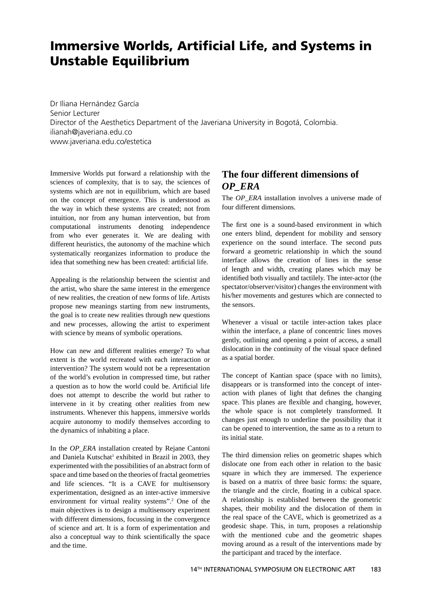## **Immersive Worlds, Artificial Life, and Systems in Unstable Equilibrium**

Dr Iliana Hernández García Senior Lecturer Director of the Aesthetics Department of the Javeriana University in Bogotá, Colombia. ilianah@javeriana.edu.co www.javeriana.edu.co/estetica

Immersive Worlds put forward a relationship with the sciences of complexity, that is to say, the sciences of systems which are not in equilibrium, which are based on the concept of emergence. This is understood as the way in which these systems are created; not from intuition, nor from any human intervention, but from computational instruments denoting independence from who ever generates it. We are dealing with different heuristics, the autonomy of the machine which systematically reorganizes information to produce the idea that something new has been created: artificial life.

Appealing is the relationship between the scientist and the artist, who share the same interest in the emergence of new realities, the creation of new forms of life. Artists propose new meanings starting from new instruments, the goal is to create new realities through new questions and new processes, allowing the artist to experiment with science by means of symbolic operations.

How can new and different realities emerge? To what extent is the world recreated with each interaction or intervention? The system would not be a representation of the world's evolution in compressed time, but rather a question as to how the world could be. Artificial life does not attempt to describe the world but rather to intervene in it by creating other realities from new instruments. Whenever this happens, immersive worlds acquire autonomy to modify themselves according to the dynamics of inhabiting a place.

In the *OP\_ERA* installation created by Rejane Cantoni and Daniela Kutschat<sup>1</sup> exhibited in Brazil in 2003, they experimented with the possibilities of an abstract form of space and time based on the theories of fractal geometries and life sciences. "It is a CAVE for multisensory experimentation, designed as an inter-active immersive environment for virtual reality systems".<sup>2</sup> One of the main objectives is to design a multisensory experiment with different dimensions, focussing in the convergence of science and art. It is a form of experimentation and also a conceptual way to think scientifically the space and the time.

## **The four different dimensions of** *OP\_ERA*

The *OP\_ERA* installation involves a universe made of four different dimensions.

The first one is a sound-based environment in which one enters blind, dependent for mobility and sensory experience on the sound interface. The second puts forward a geometric relationship in which the sound interface allows the creation of lines in the sense of length and width, creating planes which may be identified both visually and tactilely. The inter-actor (the spectator/observer/visitor) changes the environment with his/her movements and gestures which are connected to the sensors.

Whenever a visual or tactile inter-action takes place within the interface, a plane of concentric lines moves gently, outlining and opening a point of access, a small dislocation in the continuity of the visual space defined as a spatial border.

The concept of Kantian space (space with no limits), disappears or is transformed into the concept of interaction with planes of light that defines the changing space. This planes are flexible and changing, however, the whole space is not completely transformed. It changes just enough to underline the possibility that it can be opened to intervention, the same as to a return to its initial state.

The third dimension relies on geometric shapes which dislocate one from each other in relation to the basic square in which they are immersed. The experience is based on a matrix of three basic forms: the square, the triangle and the circle, floating in a cubical space. A relationship is established between the geometric shapes, their mobility and the dislocation of them in the real space of the CAVE, which is geometrized as a geodesic shape. This, in turn, proposes a relationship with the mentioned cube and the geometric shapes moving around as a result of the interventions made by the participant and traced by the interface.